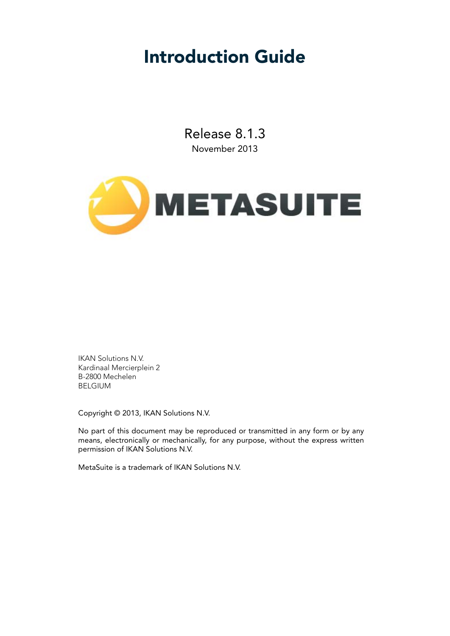### Introduction Guide

Release 8.1.3 November 2013



IKAN Solutions N.V. Kardinaal Mercierplein 2 B-2800 Mechelen BELGIUM

Copyright © 2013, IKAN Solutions N.V.

No part of this document may be reproduced or transmitted in any form or by any means, electronically or mechanically, for any purpose, without the express written permission of IKAN Solutions N.V.

MetaSuite is a trademark of IKAN Solutions N.V.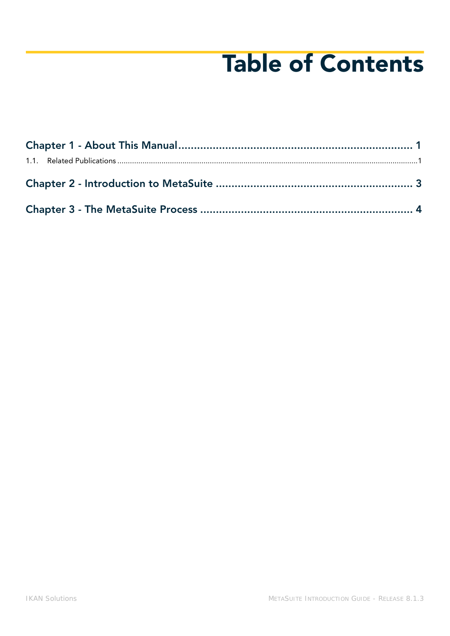# Table of Contents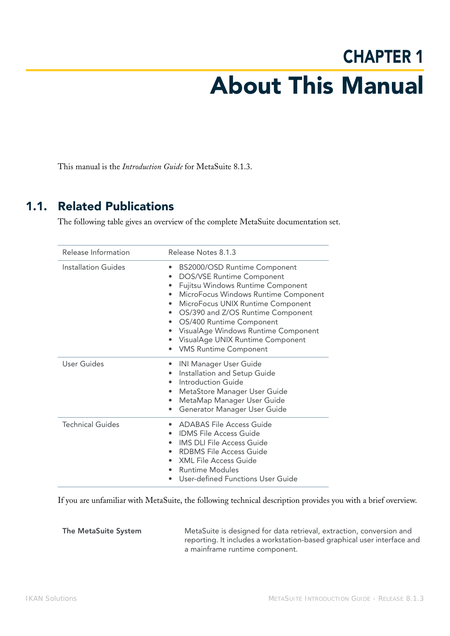## CHAPTER 1 About This Manual

<span id="page-2-0"></span>This manual is the *Introduction Guide* for MetaSuite 8.1.3.

#### <span id="page-2-1"></span>1.1. Related Publications

The following table gives an overview of the complete MetaSuite documentation set.

| Release Information | Release Notes 8.1.3                                                                                                                                                                                                                                                                                                                                                                                        |
|---------------------|------------------------------------------------------------------------------------------------------------------------------------------------------------------------------------------------------------------------------------------------------------------------------------------------------------------------------------------------------------------------------------------------------------|
| Installation Guides | BS2000/OSD Runtime Component<br><b>DOS/VSE Runtime Component</b><br>Fujitsu Windows Runtime Component<br>٠<br>MicroFocus Windows Runtime Component<br>$\bullet$<br>MicroFocus UNIX Runtime Component<br>OS/390 and Z/OS Runtime Component<br>$\bullet$<br>OS/400 Runtime Component<br>$\bullet$<br>VisualAge Windows Runtime Component<br>VisualAge UNIX Runtime Component<br><b>VMS Runtime Component</b> |
| User Guides         | <b>INI Manager User Guide</b><br>Installation and Setup Guide<br>Introduction Guide<br>$\bullet$<br>MetaStore Manager User Guide<br>$\bullet$<br>MetaMap Manager User Guide<br>٠<br>Generator Manager User Guide<br>$\bullet$                                                                                                                                                                              |
| Technical Guides    | <b>ADABAS File Access Guide</b><br><b>IDMS</b> File Access Guide<br><b>IMS DLI File Access Guide</b><br>$\bullet$<br><b>RDBMS File Access Guide</b><br>$\bullet$<br>• XML File Access Guide<br>Runtime Modules<br>$\bullet$<br>User-defined Functions User Guide                                                                                                                                           |

If you are unfamiliar with MetaSuite, the following technical description provides you with a brief overview.

**The MetaSuite System** MetaSuite is designed for data retrieval, extraction, conversion and reporting. It includes a workstation-based graphical user interface and a mainframe runtime component.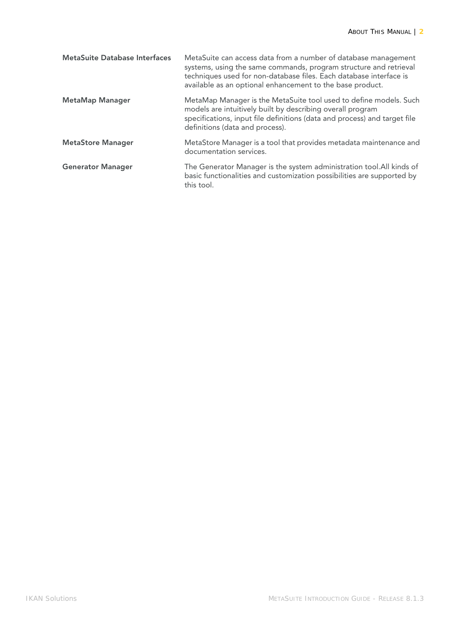| <b>MetaSuite Database Interfaces</b> | MetaSuite can access data from a number of database management<br>systems, using the same commands, program structure and retrieval<br>techniques used for non-database files. Each database interface is<br>available as an optional enhancement to the base product. |
|--------------------------------------|------------------------------------------------------------------------------------------------------------------------------------------------------------------------------------------------------------------------------------------------------------------------|
| <b>MetaMap Manager</b>               | MetaMap Manager is the MetaSuite tool used to define models. Such<br>models are intuitively built by describing overall program<br>specifications, input file definitions (data and process) and target file<br>definitions (data and process).                        |
| <b>MetaStore Manager</b>             | MetaStore Manager is a tool that provides metadata maintenance and<br>documentation services.                                                                                                                                                                          |
| <b>Generator Manager</b>             | The Generator Manager is the system administration tool. All kinds of<br>basic functionalities and customization possibilities are supported by<br>this tool.                                                                                                          |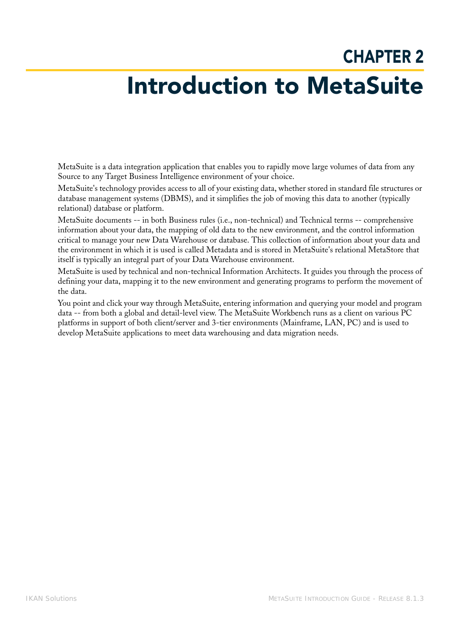### CHAPTER 2 Introduction to MetaSuite

<span id="page-4-0"></span>MetaSuite is a data integration application that enables you to rapidly move large volumes of data from any Source to any Target Business Intelligence environment of your choice.

MetaSuite's technology provides access to all of your existing data, whether stored in standard file structures or database management systems (DBMS), and it simplifies the job of moving this data to another (typically relational) database or platform.

MetaSuite documents -- in both Business rules (i.e., non-technical) and Technical terms -- comprehensive information about your data, the mapping of old data to the new environment, and the control information critical to manage your new Data Warehouse or database. This collection of information about your data and the environment in which it is used is called Metadata and is stored in MetaSuite's relational MetaStore that itself is typically an integral part of your Data Warehouse environment.

MetaSuite is used by technical and non-technical Information Architects. It guides you through the process of defining your data, mapping it to the new environment and generating programs to perform the movement of the data.

You point and click your way through MetaSuite, entering information and querying your model and program data -- from both a global and detail-level view. The MetaSuite Workbench runs as a client on various PC platforms in support of both client/server and 3-tier environments (Mainframe, LAN, PC) and is used to develop MetaSuite applications to meet data warehousing and data migration needs.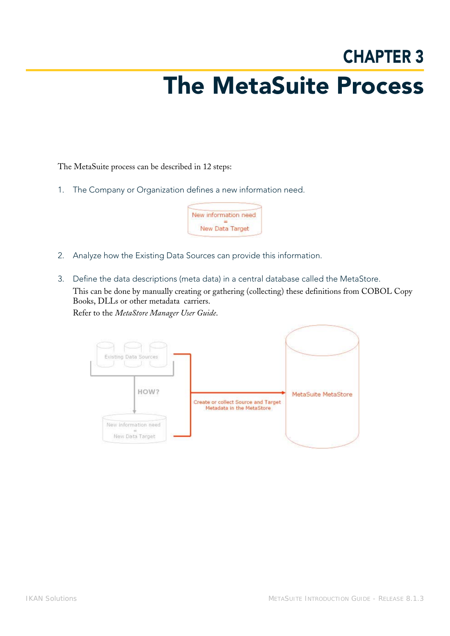### CHAPTER 3 The MetaSuite Process

<span id="page-5-0"></span>The MetaSuite process can be described in 12 steps:

1. The Company or Organization defines a new information need.



- 2. Analyze how the Existing Data Sources can provide this information.
- 3. Define the data descriptions (meta data) in a central database called the MetaStore. This can be done by manually creating or gathering (collecting) these definitions from COBOL Copy Books, DLLs or other metadata carriers.

Refer to the *MetaStore Manager User Guide*.

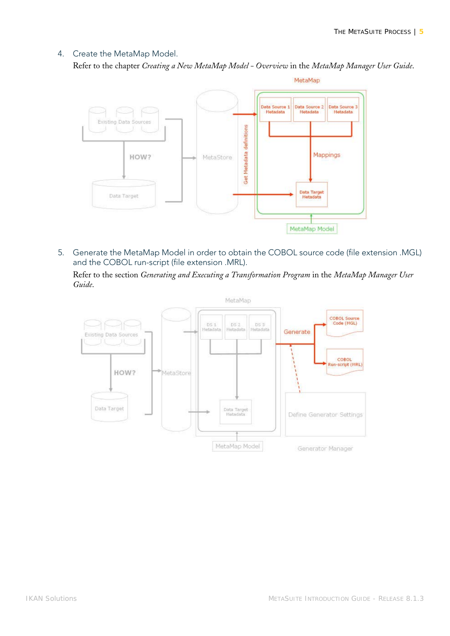#### 4. Create the MetaMap Model.

Refer to the chapter *Creating a New MetaMap Model - Overview* in the *MetaMap Manager User Guide*.



5. Generate the MetaMap Model in order to obtain the COBOL source code (file extension .MGL) and the COBOL run-script (file extension .MRL).

Refer to the section *Generating and Executing a Transformation Program* in the *MetaMap Manager User Guide*.